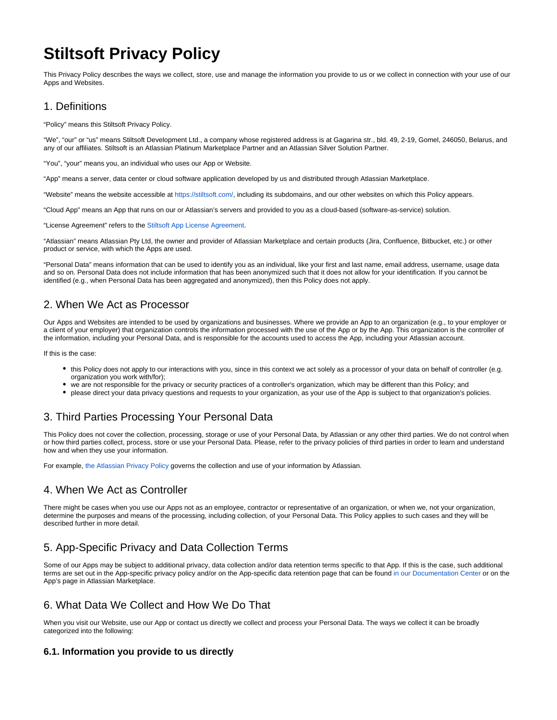# **Stiltsoft Privacy Policy**

This Privacy Policy describes the ways we collect, store, use and manage the information you provide to us or we collect in connection with your use of our Apps and Websites.

## 1. Definitions

"Policy" means this Stiltsoft Privacy Policy.

"We", "our" or "us" means Stiltsoft Development Ltd., a company whose registered address is at Gagarina str., bld. 49, 2-19, Gomel, 246050, Belarus, and any of our affiliates. Stiltsoft is an Atlassian Platinum Marketplace Partner and an Atlassian Silver Solution Partner.

"You", "your" means you, an individual who uses our App or Website.

"App" means a server, data center or cloud software application developed by us and distributed through Atlassian Marketplace.

"Website" means the website accessible at<https://stiltsoft.com/>, including its subdomains, and our other websites on which this Policy appears.

"Cloud App" means an App that runs on our or Atlassian's servers and provided to you as a cloud-based (software-as-service) solution.

"License Agreement" refers to the [Stiltsoft App License Agreement.](https://docs.stiltsoft.com/display/doc/End+User+License+Agreement)

"Atlassian" means Atlassian Pty Ltd, the owner and provider of Atlassian Marketplace and certain products (Jira, Confluence, Bitbucket, etc.) or other product or service, with which the Apps are used.

"Personal Data" means information that can be used to identify you as an individual, like your first and last name, email address, username, usage data and so on. Personal Data does not include information that has been anonymized such that it does not allow for your identification. If you cannot be identified (e.g., when Personal Data has been aggregated and anonymized), then this Policy does not apply.

## 2. When We Act as Processor

Our Apps and Websites are intended to be used by organizations and businesses. Where we provide an App to an organization (e.g., to your employer or a client of your employer) that organization controls the information processed with the use of the App or by the App. This organization is the controller of the information, including your Personal Data, and is responsible for the accounts used to access the App, including your Atlassian account.

If this is the case:

- this Policy does not apply to our interactions with you, since in this context we act solely as a processor of your data on behalf of controller (e.g. organization you work with/for);
- we are not responsible for the privacy or security practices of a controller's organization, which may be different than this Policy; and
- please direct your data privacy questions and requests to your organization, as your use of the App is subject to that organization's policies.

## 3. Third Parties Processing Your Personal Data

This Policy does not cover the collection, processing, storage or use of your Personal Data, by Atlassian or any other third parties. We do not control when or how third parties collect, process, store or use your Personal Data. Please, refer to the privacy policies of third parties in order to learn and understand how and when they use your information.

For example, [the Atlassian Privacy Policy](https://www.atlassian.com/legal/privacy-policy) governs the collection and use of your information by Atlassian.

## 4. When We Act as Controller

There might be cases when you use our Apps not as an employee, contractor or representative of an organization, or when we, not your organization, determine the purposes and means of the processing, including collection, of your Personal Data. This Policy applies to such cases and they will be described further in more detail.

# 5. App-Specific Privacy and Data Collection Terms

Some of our Apps may be subject to additional privacy, data collection and/or data retention terms specific to that App. If this is the case, such additional terms are set out in the App-specific privacy policy and/or on the App-specific data retention page that can be found [in our Documentation Center](https://docs.stiltsoft.com) or on the App's page in Atlassian Marketplace.

# 6. What Data We Collect and How We Do That

When you visit our Website, use our App or contact us directly we collect and process your Personal Data. The ways we collect it can be broadly categorized into the following:

### **6.1. Information you provide to us directly**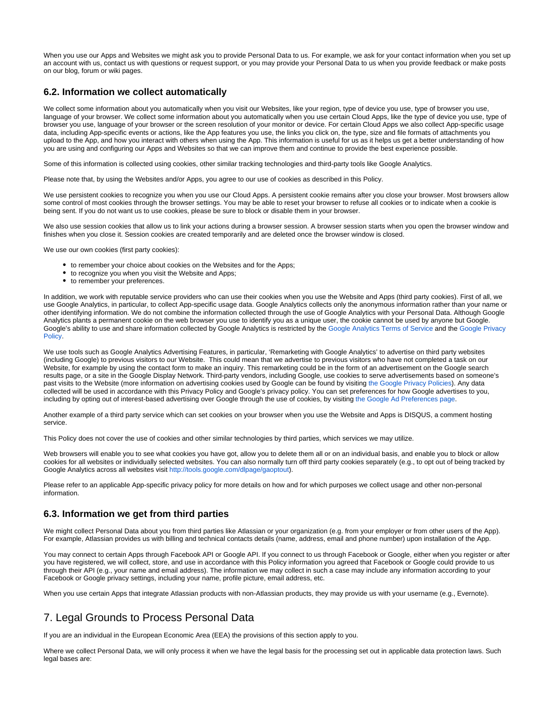When you use our Apps and Websites we might ask you to provide Personal Data to us. For example, we ask for your contact information when you set up an account with us, contact us with questions or request support, or you may provide your Personal Data to us when you provide feedback or make posts on our blog, forum or wiki pages.

#### **6.2. Information we collect automatically**

We collect some information about you automatically when you visit our Websites, like your region, type of device you use, type of browser you use, language of your browser. We collect some information about you automatically when you use certain Cloud Apps, like the type of device you use, type of browser you use, language of your browser or the screen resolution of your monitor or device. For certain Cloud Apps we also collect App-specific usage data, including App-specific events or actions, like the App features you use, the links you click on, the type, size and file formats of attachments you upload to the App, and how you interact with others when using the App. This information is useful for us as it helps us get a better understanding of how you are using and configuring our Apps and Websites so that we can improve them and continue to provide the best experience possible.

Some of this information is collected using cookies, other similar tracking technologies and third-party tools like Google Analytics.

Please note that, by using the Websites and/or Apps, you agree to our use of cookies as described in this Policy.

We use persistent cookies to recognize you when you use our Cloud Apps. A persistent cookie remains after you close your browser. Most browsers allow some control of most cookies through the browser settings. You may be able to reset your browser to refuse all cookies or to indicate when a cookie is being sent. If you do not want us to use cookies, please be sure to block or disable them in your browser.

We also use session cookies that allow us to link your actions during a browser session. A browser session starts when you open the browser window and finishes when you close it. Session cookies are created temporarily and are deleted once the browser window is closed.

We use our own cookies (first party cookies):

- to remember your choice about cookies on the Websites and for the Apps;
- to recognize you when you visit the Website and Apps;
- $\bullet$  to remember your preferences.

In addition, we work with reputable service providers who can use their cookies when you use the Website and Apps (third party cookies). First of all, we use Google Analytics, in particular, to collect App-specific usage data. Google Analytics collects only the anonymous information rather than your name or other identifying information. We do not combine the information collected through the use of Google Analytics with your Personal Data. Although Google Analytics plants a permanent cookie on the web browser you use to identify you as a unique user, the cookie cannot be used by anyone but Google. Google's ability to use and share information collected by Google Analytics is restricted by the [Google Analytics Terms of Service](https://www.google.com/analytics/terms/) and the [Google Privacy](https://policies.google.com/privacy)  [Policy](https://policies.google.com/privacy).

We use tools such as Google Analytics Advertising Features, in particular, 'Remarketing with Google Analytics' to advertise on third party websites (including Google) to previous visitors to our Website. This could mean that we advertise to previous visitors who have not completed a task on our Website, for example by using the contact form to make an inquiry. This remarketing could be in the form of an advertisement on the Google search results page, or a site in the Google Display Network. Third-party vendors, including Google, use cookies to serve advertisements based on someone's past visits to the Website (more information on advertising cookies used by Google can be found by visiting [the Google Privacy Policies\)](https://policies.google.com/technologies/types). Any data collected will be used in accordance with this Privacy Policy and Google's privacy policy. You can set preferences for how Google advertises to you, including by opting out of interest-based advertising over Google through the use of cookies, by visiting [the Google Ad Preferences page](http://www.google.com/settings/ads).

Another example of a third party service which can set cookies on your browser when you use the Website and Apps is DISQUS, a comment hosting service.

This Policy does not cover the use of cookies and other similar technologies by third parties, which services we may utilize.

Web browsers will enable you to see what cookies you have got, allow you to delete them all or on an individual basis, and enable you to block or allow cookies for all websites or individually selected websites. You can also normally turn off third party cookies separately (e.g., to opt out of being tracked by Google Analytics across all websites visit [http://tools.google.com/dlpage/gaoptout\)](http://tools.google.com/dlpage/gaoptout).

Please refer to an applicable App-specific privacy policy for more details on how and for which purposes we collect usage and other non-personal information.

#### **6.3. Information we get from third parties**

We might collect Personal Data about you from third parties like Atlassian or your organization (e.g. from your employer or from other users of the App). For example, Atlassian provides us with billing and technical contacts details (name, address, email and phone number) upon installation of the App.

You may connect to certain Apps through Facebook API or Google API. If you connect to us through Facebook or Google, either when you register or after you have registered, we will collect, store, and use in accordance with this Policy information you agreed that Facebook or Google could provide to us through their API (e.g., your name and email address). The information we may collect in such a case may include any information according to your Facebook or Google privacy settings, including your name, profile picture, email address, etc.

When you use certain Apps that integrate Atlassian products with non-Atlassian products, they may provide us with your username (e.g., Evernote).

## 7. Legal Grounds to Process Personal Data

If you are an individual in the European Economic Area (EEA) the provisions of this section apply to you.

Where we collect Personal Data, we will only process it when we have the legal basis for the processing set out in applicable data protection laws. Such legal bases are: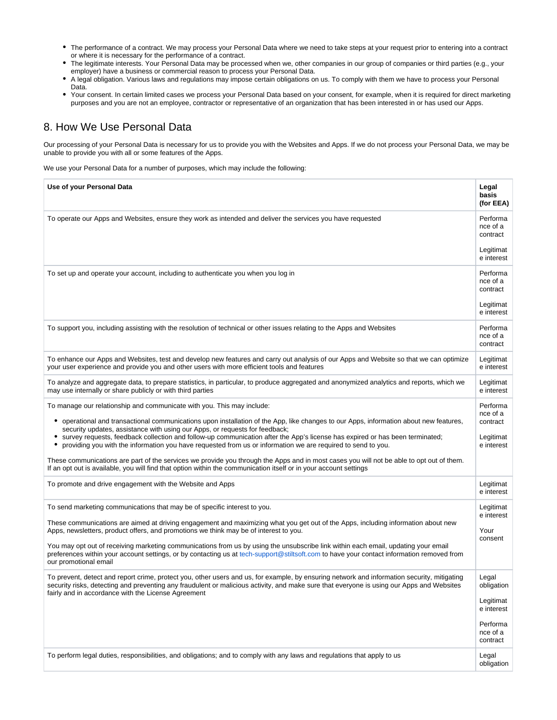- The performance of a contract. We may process your Personal Data where we need to take steps at your request prior to entering into a contract or where it is necessary for the performance of a contract.
- The legitimate interests. Your Personal Data may be processed when we, other companies in our group of companies or third parties (e.g., your employer) have a business or commercial reason to process your Personal Data.
- A legal obligation. Various laws and regulations may impose certain obligations on us. To comply with them we have to process your Personal Data.
- Your consent. In certain limited cases we process your Personal Data based on your consent, for example, when it is required for direct marketing purposes and you are not an employee, contractor or representative of an organization that has been interested in or has used our Apps.

## 8. How We Use Personal Data

Our processing of your Personal Data is necessary for us to provide you with the Websites and Apps. If we do not process your Personal Data, we may be unable to provide you with all or some features of the Apps.

We use your Personal Data for a number of purposes, which may include the following:

| Use of your Personal Data                                                                                                                                                                                                                                                                                                                                                                                                                                                                                                                                                                                                                                                                      | Legal<br>basis<br>(for EEA)                                                        |
|------------------------------------------------------------------------------------------------------------------------------------------------------------------------------------------------------------------------------------------------------------------------------------------------------------------------------------------------------------------------------------------------------------------------------------------------------------------------------------------------------------------------------------------------------------------------------------------------------------------------------------------------------------------------------------------------|------------------------------------------------------------------------------------|
| To operate our Apps and Websites, ensure they work as intended and deliver the services you have requested                                                                                                                                                                                                                                                                                                                                                                                                                                                                                                                                                                                     | Performa<br>nce of a<br>contract                                                   |
|                                                                                                                                                                                                                                                                                                                                                                                                                                                                                                                                                                                                                                                                                                | Legitimat<br>e interest                                                            |
| To set up and operate your account, including to authenticate you when you log in                                                                                                                                                                                                                                                                                                                                                                                                                                                                                                                                                                                                              | Performa<br>nce of a<br>contract                                                   |
|                                                                                                                                                                                                                                                                                                                                                                                                                                                                                                                                                                                                                                                                                                | Legitimat<br>e interest                                                            |
| To support you, including assisting with the resolution of technical or other issues relating to the Apps and Websites                                                                                                                                                                                                                                                                                                                                                                                                                                                                                                                                                                         | Performa<br>nce of a<br>contract                                                   |
| To enhance our Apps and Websites, test and develop new features and carry out analysis of our Apps and Website so that we can optimize<br>your user experience and provide you and other users with more efficient tools and features                                                                                                                                                                                                                                                                                                                                                                                                                                                          | Legitimat<br>e interest                                                            |
| To analyze and aggregate data, to prepare statistics, in particular, to produce aggregated and anonymized analytics and reports, which we<br>may use internally or share publicly or with third parties                                                                                                                                                                                                                                                                                                                                                                                                                                                                                        | Legitimat<br>e interest                                                            |
| To manage our relationship and communicate with you. This may include:<br>operational and transactional communications upon installation of the App, like changes to our Apps, information about new features,<br>٠<br>security updates, assistance with using our Apps, or requests for feedback;<br>survey requests, feedback collection and follow-up communication after the App's license has expired or has been terminated;<br>providing you with the information you have requested from us or information we are required to send to you.<br>These communications are part of the services we provide you through the Apps and in most cases you will not be able to opt out of them. | Performa<br>nce of a<br>contract<br>Legitimat<br>e interest                        |
| If an opt out is available, you will find that option within the communication itself or in your account settings                                                                                                                                                                                                                                                                                                                                                                                                                                                                                                                                                                              |                                                                                    |
| To promote and drive engagement with the Website and Apps                                                                                                                                                                                                                                                                                                                                                                                                                                                                                                                                                                                                                                      | Legitimat<br>e interest                                                            |
| To send marketing communications that may be of specific interest to you.<br>These communications are aimed at driving engagement and maximizing what you get out of the Apps, including information about new<br>Apps, newsletters, product offers, and promotions we think may be of interest to you.<br>You may opt out of receiving marketing communications from us by using the unsubscribe link within each email, updating your email<br>preferences within your account settings, or by contacting us at tech-support@stiltsoft.com to have your contact information removed from<br>our promotional email                                                                            | Legitimat<br>e interest<br>Your<br>consent                                         |
| To prevent, detect and report crime, protect you, other users and us, for example, by ensuring network and information security, mitigating<br>security risks, detecting and preventing any fraudulent or malicious activity, and make sure that everyone is using our Apps and Websites<br>fairly and in accordance with the License Agreement                                                                                                                                                                                                                                                                                                                                                | Legal<br>obligation<br>Legitimat<br>e interest<br>Performa<br>nce of a<br>contract |
| To perform legal duties, responsibilities, and obligations; and to comply with any laws and regulations that apply to us                                                                                                                                                                                                                                                                                                                                                                                                                                                                                                                                                                       | Legal<br>obligation                                                                |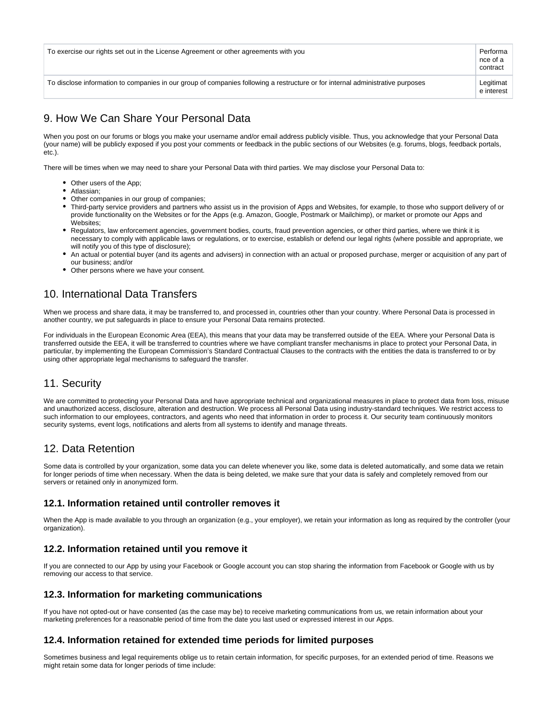| To exercise our rights set out in the License Agreement or other agreements with you |                                                                                                                                | Performa<br>nce of a<br>contract |
|--------------------------------------------------------------------------------------|--------------------------------------------------------------------------------------------------------------------------------|----------------------------------|
|                                                                                      | To disclose information to companies in our group of companies following a restructure or for internal administrative purposes | Legitimat<br>e interest          |

# 9. How We Can Share Your Personal Data

When you post on our forums or blogs you make your username and/or email address publicly visible. Thus, you acknowledge that your Personal Data (your name) will be publicly exposed if you post your comments or feedback in the public sections of our Websites (e.g. forums, blogs, feedback portals, etc.).

There will be times when we may need to share your Personal Data with third parties. We may disclose your Personal Data to:

- Other users of the App:
- Atlassian;
- Other companies in our group of companies:
- Third-party service providers and partners who assist us in the provision of Apps and Websites, for example, to those who support delivery of or provide functionality on the Websites or for the Apps (e.g. Amazon, Google, Postmark or Mailchimp), or market or promote our Apps and Websites;
- Regulators, law enforcement agencies, government bodies, courts, fraud prevention agencies, or other third parties, where we think it is necessary to comply with applicable laws or regulations, or to exercise, establish or defend our legal rights (where possible and appropriate, we will notify you of this type of disclosure);
- An actual or potential buyer (and its agents and advisers) in connection with an actual or proposed purchase, merger or acquisition of any part of our business; and/or
- Other persons where we have your consent.

## 10. International Data Transfers

When we process and share data, it may be transferred to, and processed in, countries other than your country. Where Personal Data is processed in another country, we put safeguards in place to ensure your Personal Data remains protected.

For individuals in the European Economic Area (EEA), this means that your data may be transferred outside of the EEA. Where your Personal Data is transferred outside the EEA, it will be transferred to countries where we have compliant transfer mechanisms in place to protect your Personal Data, in particular, by implementing the European Commission's Standard Contractual Clauses to the contracts with the entities the data is transferred to or by using other appropriate legal mechanisms to safeguard the transfer.

## 11. Security

We are committed to protecting your Personal Data and have appropriate technical and organizational measures in place to protect data from loss, misuse and unauthorized access, disclosure, alteration and destruction. We process all Personal Data using industry-standard techniques. We restrict access to such information to our employees, contractors, and agents who need that information in order to process it. Our security team continuously monitors security systems, event logs, notifications and alerts from all systems to identify and manage threats.

## 12. Data Retention

Some data is controlled by your organization, some data you can delete whenever you like, some data is deleted automatically, and some data we retain for longer periods of time when necessary. When the data is being deleted, we make sure that your data is safely and completely removed from our servers or retained only in anonymized form.

#### **12.1. Information retained until controller removes it**

When the App is made available to you through an organization (e.g., your employer), we retain your information as long as required by the controller (your organization).

### **12.2. Information retained until you remove it**

If you are connected to our App by using your Facebook or Google account you can stop sharing the information from Facebook or Google with us by removing our access to that service.

### **12.3. Information for marketing communications**

If you have not opted-out or have consented (as the case may be) to receive marketing communications from us, we retain information about your marketing preferences for a reasonable period of time from the date you last used or expressed interest in our Apps.

### **12.4. Information retained for extended time periods for limited purposes**

Sometimes business and legal requirements oblige us to retain certain information, for specific purposes, for an extended period of time. Reasons we might retain some data for longer periods of time include: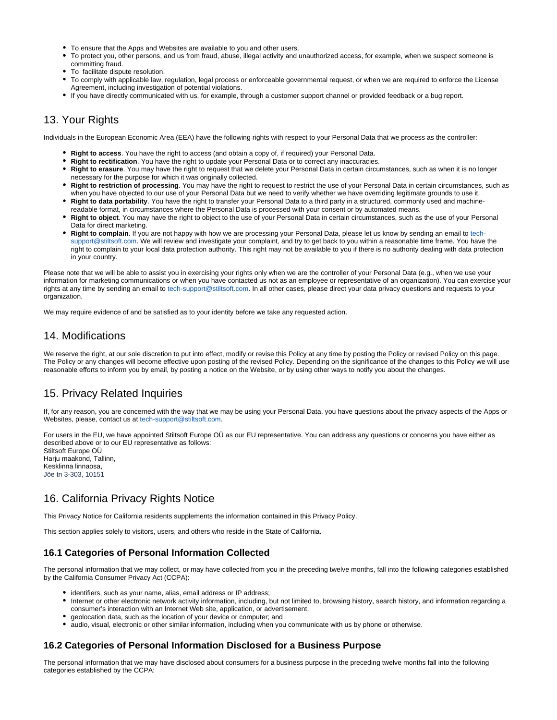- To ensure that the Apps and Websites are available to you and other users.
- To protect you, other persons, and us from fraud, abuse, illegal activity and unauthorized access, for example, when we suspect someone is committing fraud.
- To facilitate dispute resolution.
- To comply with applicable law, regulation, legal process or enforceable governmental request, or when we are required to enforce the License Agreement, including investigation of potential violations.
- If you have directly communicated with us, for example, through a customer support channel or provided feedback or a bug report.

## 13. Your Rights

Individuals in the European Economic Area (EEA) have the following rights with respect to your Personal Data that we process as the controller:

- **Right to access**. You have the right to access (and obtain a copy of, if required) your Personal Data.
- **Right to rectification**. You have the right to update your Personal Data or to correct any inaccuracies.
- **Right to erasure**. You may have the right to request that we delete your Personal Data in certain circumstances, such as when it is no longer necessary for the purpose for which it was originally collected.
- **Right to restriction of processing**. You may have the right to request to restrict the use of your Personal Data in certain circumstances, such as when you have objected to our use of your Personal Data but we need to verify whether we have overriding legitimate grounds to use it.
- **Right to data portability**. You have the right to transfer your Personal Data to a third party in a structured, commonly used and machinereadable format, in circumstances where the Personal Data is processed with your consent or by automated means.
- **Right to object**. You may have the right to object to the use of your Personal Data in certain circumstances, such as the use of your Personal Data for direct marketing.
- **Right to complain**. If you are not happy with how we are processing your Personal Data, please let us know by sending an email to [tech](mailto:tech-support@stiltsoft.com)[support@stiltsoft.com](mailto:tech-support@stiltsoft.com). We will review and investigate your complaint, and try to get back to you within a reasonable time frame. You have the right to complain to your local data protection authority. This right may not be available to you if there is no authority dealing with data protection in your country.

Please note that we will be able to assist you in exercising your rights only when we are the controller of your Personal Data (e.g., when we use your information for marketing communications or when you have contacted us not as an employee or representative of an organization). You can exercise your rights at any time by sending an email to [tech-support@stiltsoft.com](mailto:tech-support@stiltsoft.com). In all other cases, please direct your data privacy questions and requests to your organization.

We may require evidence of and be satisfied as to your identity before we take any requested action.

## 14. Modifications

We reserve the right, at our sole discretion to put into effect, modify or revise this Policy at any time by posting the Policy or revised Policy on this page. The Policy or any changes will become effective upon posting of the revised Policy. Depending on the significance of the changes to this Policy we will use reasonable efforts to inform you by email, by posting a notice on the Website, or by using other ways to notify you about the changes.

# 15. Privacy Related Inquiries

If, for any reason, you are concerned with the way that we may be using your Personal Data, you have questions about the privacy aspects of the Apps or Websites, please, contact us at [tech-support@stiltsoft.com.](mailto:tech-support@stiltsoft.com)

For users in the EU, we have appointed Stiltsoft Europe OÜ as our EU representative. You can address any questions or concerns you have either as described above or to our EU representative as follows:

Stiltsoft Europe OÜ Harju maakond, Tallinn, Kesklinna linnaosa, Jõe tn 3-303, 10151

# 16. California Privacy Rights Notice

This Privacy Notice for California residents supplements the information contained in this Privacy Policy.

This section applies solely to visitors, users, and others who reside in the State of California.

### **16.1 Categories of Personal Information Collected**

The personal information that we may collect, or may have collected from you in the preceding twelve months, fall into the following categories established by the California Consumer Privacy Act (CCPA):

- identifiers, such as your name, alias, email address or IP address;
- Internet or other electronic network activity information, including, but not limited to, browsing history, search history, and information regarding a consumer's interaction with an Internet Web site, application, or advertisement.
- geolocation data, such as the location of your device or computer; and
- audio, visual, electronic or other similar information, including when you communicate with us by phone or otherwise.

### **16.2 Categories of Personal Information Disclosed for a Business Purpose**

The personal information that we may have disclosed about consumers for a business purpose in the preceding twelve months fall into the following categories established by the CCPA: